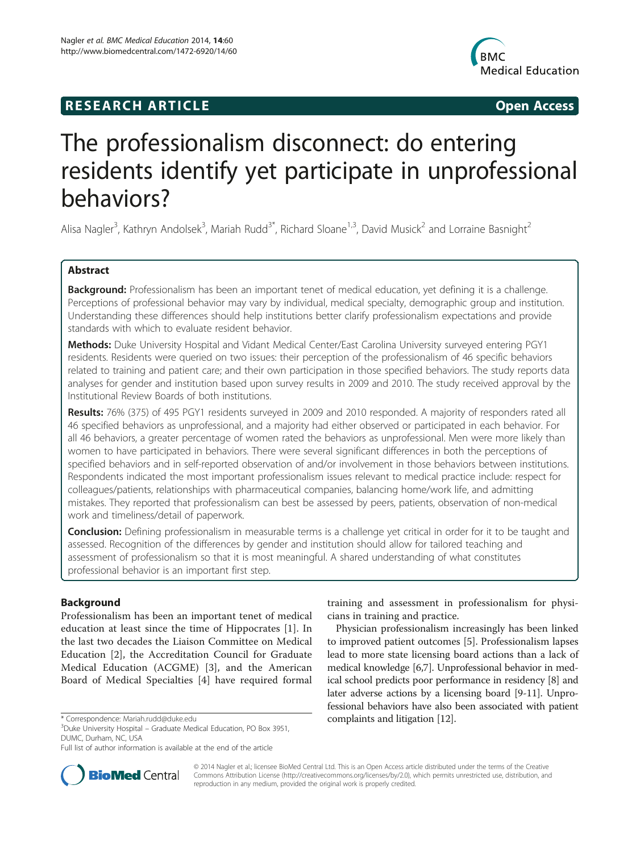## **RESEARCH ARTICLE Example 2014 12:30 The SEAR CHA RESEARCH ARTICLE**



# The professionalism disconnect: do entering residents identify yet participate in unprofessional behaviors?

Alisa Nagler<sup>3</sup>, Kathryn Andolsek<sup>3</sup>, Mariah Rudd<sup>3\*</sup>, Richard Sloane<sup>1,3</sup>, David Musick<sup>2</sup> and Lorraine Basnight<sup>2</sup>

## Abstract

Background: Professionalism has been an important tenet of medical education, yet defining it is a challenge. Perceptions of professional behavior may vary by individual, medical specialty, demographic group and institution. Understanding these differences should help institutions better clarify professionalism expectations and provide standards with which to evaluate resident behavior.

Methods: Duke University Hospital and Vidant Medical Center/East Carolina University surveyed entering PGY1 residents. Residents were queried on two issues: their perception of the professionalism of 46 specific behaviors related to training and patient care; and their own participation in those specified behaviors. The study reports data analyses for gender and institution based upon survey results in 2009 and 2010. The study received approval by the Institutional Review Boards of both institutions.

Results: 76% (375) of 495 PGY1 residents surveyed in 2009 and 2010 responded. A majority of responders rated all 46 specified behaviors as unprofessional, and a majority had either observed or participated in each behavior. For all 46 behaviors, a greater percentage of women rated the behaviors as unprofessional. Men were more likely than women to have participated in behaviors. There were several significant differences in both the perceptions of specified behaviors and in self-reported observation of and/or involvement in those behaviors between institutions. Respondents indicated the most important professionalism issues relevant to medical practice include: respect for colleagues/patients, relationships with pharmaceutical companies, balancing home/work life, and admitting mistakes. They reported that professionalism can best be assessed by peers, patients, observation of non-medical work and timeliness/detail of paperwork.

Conclusion: Defining professionalism in measurable terms is a challenge yet critical in order for it to be taught and assessed. Recognition of the differences by gender and institution should allow for tailored teaching and assessment of professionalism so that it is most meaningful. A shared understanding of what constitutes professional behavior is an important first step.

## Background

Professionalism has been an important tenet of medical education at least since the time of Hippocrates [[1\]](#page-11-0). In the last two decades the Liaison Committee on Medical Education [[2](#page-11-0)], the Accreditation Council for Graduate Medical Education (ACGME) [\[3](#page-11-0)], and the American Board of Medical Specialties [[4\]](#page-11-0) have required formal



Physician professionalism increasingly has been linked to improved patient outcomes [[5\]](#page-11-0). Professionalism lapses lead to more state licensing board actions than a lack of medical knowledge [\[6,7\]](#page-11-0). Unprofessional behavior in medical school predicts poor performance in residency [\[8\]](#page-11-0) and later adverse actions by a licensing board [\[9-11\]](#page-11-0). Unprofessional behaviors have also been associated with patient \* Correspondence: [Mariah.rudd@duke.edu](mailto:Mariah.rudd@duke.edu) complaints and litigation [[12](#page-11-0)]. <sup>3</sup>



© 2014 Nagler et al.; licensee BioMed Central Ltd. This is an Open Access article distributed under the terms of the Creative Commons Attribution License [\(http://creativecommons.org/licenses/by/2.0\)](http://creativecommons.org/licenses/by/2.0), which permits unrestricted use, distribution, and reproduction in any medium, provided the original work is properly credited.

<sup>&</sup>lt;sup>3</sup>Duke University Hospital – Graduate Medical Education, PO Box 3951, DUMC, Durham, NC, USA

Full list of author information is available at the end of the article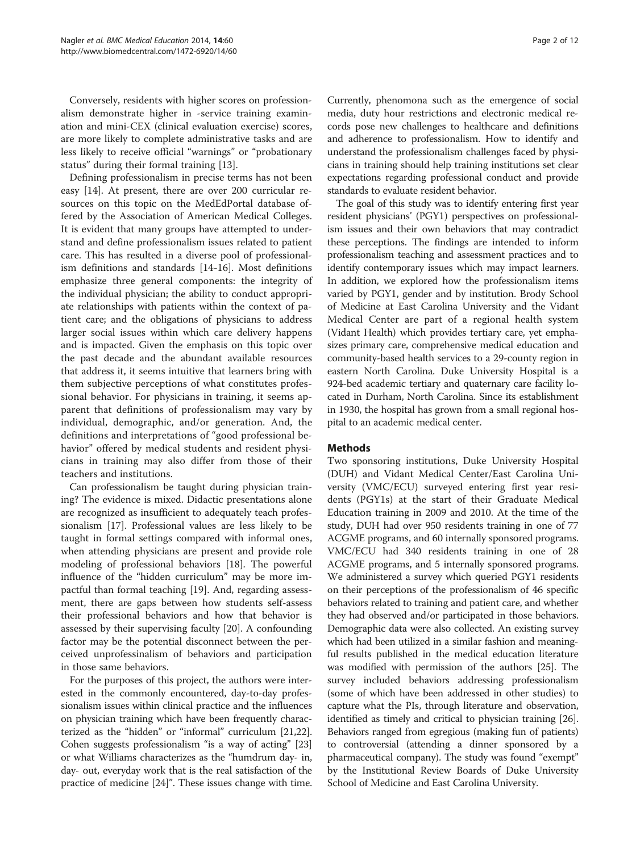Conversely, residents with higher scores on professionalism demonstrate higher in -service training examination and mini-CEX (clinical evaluation exercise) scores, are more likely to complete administrative tasks and are less likely to receive official "warnings" or "probationary status" during their formal training [\[13](#page-11-0)].

Defining professionalism in precise terms has not been easy [\[14](#page-11-0)]. At present, there are over 200 curricular resources on this topic on the MedEdPortal database offered by the Association of American Medical Colleges. It is evident that many groups have attempted to understand and define professionalism issues related to patient care. This has resulted in a diverse pool of professionalism definitions and standards [[14-16](#page-11-0)]. Most definitions emphasize three general components: the integrity of the individual physician; the ability to conduct appropriate relationships with patients within the context of patient care; and the obligations of physicians to address larger social issues within which care delivery happens and is impacted. Given the emphasis on this topic over the past decade and the abundant available resources that address it, it seems intuitive that learners bring with them subjective perceptions of what constitutes professional behavior. For physicians in training, it seems apparent that definitions of professionalism may vary by individual, demographic, and/or generation. And, the definitions and interpretations of "good professional behavior" offered by medical students and resident physicians in training may also differ from those of their teachers and institutions.

Can professionalism be taught during physician training? The evidence is mixed. Didactic presentations alone are recognized as insufficient to adequately teach professionalism [[17\]](#page-11-0). Professional values are less likely to be taught in formal settings compared with informal ones, when attending physicians are present and provide role modeling of professional behaviors [\[18](#page-11-0)]. The powerful influence of the "hidden curriculum" may be more impactful than formal teaching [[19\]](#page-11-0). And, regarding assessment, there are gaps between how students self-assess their professional behaviors and how that behavior is assessed by their supervising faculty [[20\]](#page-11-0). A confounding factor may be the potential disconnect between the perceived unprofessinalism of behaviors and participation in those same behaviors.

For the purposes of this project, the authors were interested in the commonly encountered, day-to-day professionalism issues within clinical practice and the influences on physician training which have been frequently characterized as the "hidden" or "informal" curriculum [\[21,22](#page-11-0)]. Cohen suggests professionalism "is a way of acting" [[23](#page-11-0)] or what Williams characterizes as the "humdrum day- in, day- out, everyday work that is the real satisfaction of the practice of medicine [[24](#page-11-0)]". These issues change with time.

Currently, phenomona such as the emergence of social media, duty hour restrictions and electronic medical records pose new challenges to healthcare and definitions and adherence to professionalism. How to identify and understand the professionalism challenges faced by physicians in training should help training institutions set clear expectations regarding professional conduct and provide standards to evaluate resident behavior.

The goal of this study was to identify entering first year resident physicians' (PGY1) perspectives on professionalism issues and their own behaviors that may contradict these perceptions. The findings are intended to inform professionalism teaching and assessment practices and to identify contemporary issues which may impact learners. In addition, we explored how the professionalism items varied by PGY1, gender and by institution. Brody School of Medicine at East Carolina University and the Vidant Medical Center are part of a regional health system (Vidant Health) which provides tertiary care, yet emphasizes primary care, comprehensive medical education and community-based health services to a 29-county region in eastern North Carolina. Duke University Hospital is a 924-bed academic tertiary and quaternary care facility located in Durham, North Carolina. Since its establishment in 1930, the hospital has grown from a small regional hospital to an academic medical center.

## Methods

Two sponsoring institutions, Duke University Hospital (DUH) and Vidant Medical Center/East Carolina University (VMC/ECU) surveyed entering first year residents (PGY1s) at the start of their Graduate Medical Education training in 2009 and 2010. At the time of the study, DUH had over 950 residents training in one of 77 ACGME programs, and 60 internally sponsored programs. VMC/ECU had 340 residents training in one of 28 ACGME programs, and 5 internally sponsored programs. We administered a survey which queried PGY1 residents on their perceptions of the professionalism of 46 specific behaviors related to training and patient care, and whether they had observed and/or participated in those behaviors. Demographic data were also collected. An existing survey which had been utilized in a similar fashion and meaningful results published in the medical education literature was modified with permission of the authors [\[25\]](#page-11-0). The survey included behaviors addressing professionalism (some of which have been addressed in other studies) to capture what the PIs, through literature and observation, identified as timely and critical to physician training [[26](#page-11-0)]. Behaviors ranged from egregious (making fun of patients) to controversial (attending a dinner sponsored by a pharmaceutical company). The study was found "exempt" by the Institutional Review Boards of Duke University School of Medicine and East Carolina University.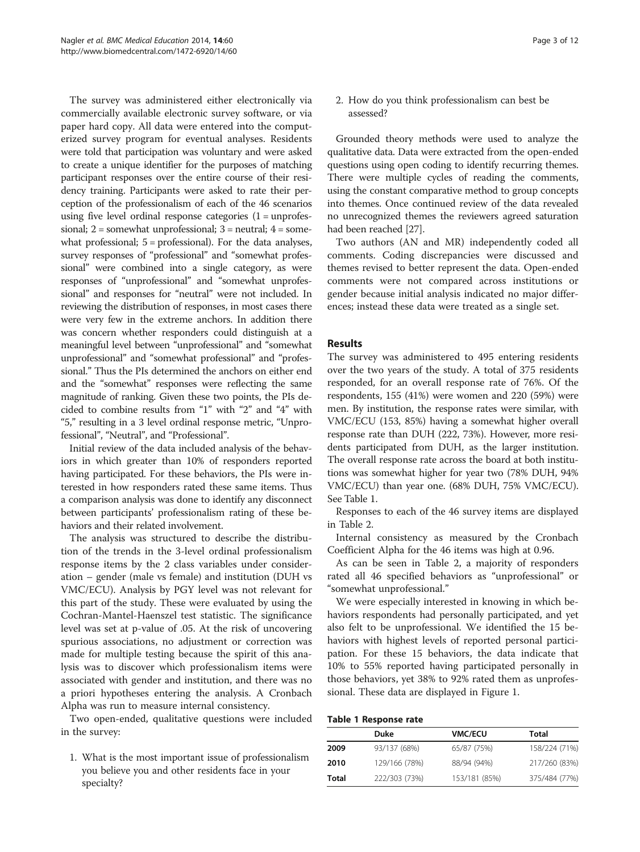The survey was administered either electronically via commercially available electronic survey software, or via paper hard copy. All data were entered into the computerized survey program for eventual analyses. Residents were told that participation was voluntary and were asked to create a unique identifier for the purposes of matching participant responses over the entire course of their residency training. Participants were asked to rate their perception of the professionalism of each of the 46 scenarios using five level ordinal response categories  $(1 = \text{unprofes-})$ sional;  $2 =$  somewhat unprofessional;  $3 =$  neutral;  $4 =$  somewhat professional; 5 = professional). For the data analyses, survey responses of "professional" and "somewhat professional" were combined into a single category, as were responses of "unprofessional" and "somewhat unprofessional" and responses for "neutral" were not included. In reviewing the distribution of responses, in most cases there were very few in the extreme anchors. In addition there was concern whether responders could distinguish at a meaningful level between "unprofessional" and "somewhat unprofessional" and "somewhat professional" and "professional." Thus the PIs determined the anchors on either end and the "somewhat" responses were reflecting the same magnitude of ranking. Given these two points, the PIs decided to combine results from "1" with "2" and "4" with "5," resulting in a 3 level ordinal response metric, "Unprofessional", "Neutral", and "Professional".

Initial review of the data included analysis of the behaviors in which greater than 10% of responders reported having participated. For these behaviors, the PIs were interested in how responders rated these same items. Thus a comparison analysis was done to identify any disconnect between participants' professionalism rating of these behaviors and their related involvement.

The analysis was structured to describe the distribution of the trends in the 3-level ordinal professionalism response items by the 2 class variables under consideration – gender (male vs female) and institution (DUH vs VMC/ECU). Analysis by PGY level was not relevant for this part of the study. These were evaluated by using the Cochran-Mantel-Haenszel test statistic. The significance level was set at p-value of .05. At the risk of uncovering spurious associations, no adjustment or correction was made for multiple testing because the spirit of this analysis was to discover which professionalism items were associated with gender and institution, and there was no a priori hypotheses entering the analysis. A Cronbach Alpha was run to measure internal consistency.

Two open-ended, qualitative questions were included in the survey:

1. What is the most important issue of professionalism you believe you and other residents face in your specialty?

2. How do you think professionalism can best be assessed?

Grounded theory methods were used to analyze the qualitative data. Data were extracted from the open-ended questions using open coding to identify recurring themes. There were multiple cycles of reading the comments, using the constant comparative method to group concepts into themes. Once continued review of the data revealed no unrecognized themes the reviewers agreed saturation had been reached [[27](#page-11-0)].

Two authors (AN and MR) independently coded all comments. Coding discrepancies were discussed and themes revised to better represent the data. Open-ended comments were not compared across institutions or gender because initial analysis indicated no major differences; instead these data were treated as a single set.

## Results

The survey was administered to 495 entering residents over the two years of the study. A total of 375 residents responded, for an overall response rate of 76%. Of the respondents, 155 (41%) were women and 220 (59%) were men. By institution, the response rates were similar, with VMC/ECU (153, 85%) having a somewhat higher overall response rate than DUH (222, 73%). However, more residents participated from DUH, as the larger institution. The overall response rate across the board at both institutions was somewhat higher for year two (78% DUH, 94% VMC/ECU) than year one. (68% DUH, 75% VMC/ECU). See Table 1.

Responses to each of the 46 survey items are displayed in Table [2.](#page-3-0)

Internal consistency as measured by the Cronbach Coefficient Alpha for the 46 items was high at 0.96.

As can be seen in Table [2](#page-3-0), a majority of responders rated all 46 specified behaviors as "unprofessional" or "somewhat unprofessional."

We were especially interested in knowing in which behaviors respondents had personally participated, and yet also felt to be unprofessional. We identified the 15 behaviors with highest levels of reported personal participation. For these 15 behaviors, the data indicate that 10% to 55% reported having participated personally in those behaviors, yet 38% to 92% rated them as unprofessional. These data are displayed in Figure [1.](#page-5-0)

### Table 1 Response rate

|       | Duke          | <b>VMC/ECU</b> | Total         |
|-------|---------------|----------------|---------------|
| 2009  | 93/137 (68%)  | 65/87 (75%)    | 158/224 (71%) |
| 2010  | 129/166 (78%) | 88/94 (94%)    | 217/260 (83%) |
| Total | 222/303 (73%) | 153/181 (85%)  | 375/484 (77%) |
|       |               |                |               |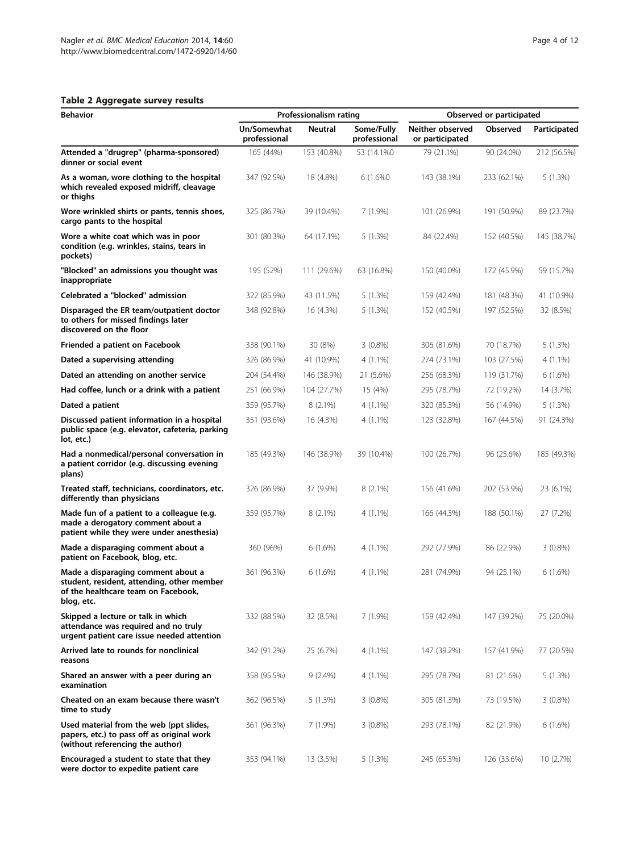## <span id="page-3-0"></span>Table 2 Aggregate survey results

| <b>Behavior</b>                                                                                                                       |                             | Professionalism rating |                            | Observed or participated            |             |              |  |  |
|---------------------------------------------------------------------------------------------------------------------------------------|-----------------------------|------------------------|----------------------------|-------------------------------------|-------------|--------------|--|--|
|                                                                                                                                       | Un/Somewhat<br>professional | <b>Neutral</b>         | Some/Fully<br>professional | Neither observed<br>or participated | Observed    | Participated |  |  |
| Attended a "drugrep" (pharma-sponsored)<br>dinner or social event                                                                     | 165 (44%)                   | 153 (40.8%)            | 53 (14.1%0)                | 79 (21.1%)                          | 90 (24.0%)  | 212 (56.5%)  |  |  |
| As a woman, wore clothing to the hospital<br>which revealed exposed midriff, cleavage<br>or thighs                                    | 347 (92.5%)                 | 18 (4.8%)              | 6 (1.6%0)                  | 143 (38.1%)                         | 233 (62.1%) | 5(1.3%)      |  |  |
| Wore wrinkled shirts or pants, tennis shoes,<br>cargo pants to the hospital                                                           | 325 (86.7%)                 | 39 (10.4%)             | 7(1.9%)                    | 101 (26.9%)                         | 191 (50.9%) | 89 (23.7%)   |  |  |
| Wore a white coat which was in poor<br>condition (e.g. wrinkles, stains, tears in<br>pockets)                                         | 301 (80.3%)                 | 64 (17.1%)             | 5(1.3%)                    | 84 (22.4%)                          | 152 (40.5%) | 145 (38.7%)  |  |  |
| "Blocked" an admissions you thought was<br>inappropriate                                                                              | 195 (52%)                   | 111 (29.6%)            | 63 (16.8%)                 | 150 (40.0%)                         | 172 (45.9%) | 59 (15.7%)   |  |  |
| Celebrated a "blocked" admission                                                                                                      | 322 (85.9%)                 | 43 (11.5%)             | 5(1.3%)                    | 159 (42.4%)                         | 181 (48.3%) | 41 (10.9%)   |  |  |
| Disparaged the ER team/outpatient doctor<br>to others for missed findings later<br>discovered on the floor                            | 348 (92.8%)                 | 16 (4.3%)              | 5(1.3%)                    | 152 (40.5%)                         | 197 (52.5%) | 32 (8.5%)    |  |  |
| Friended a patient on Facebook                                                                                                        | 338 (90.1%)                 | 30 (8%)                | 3 (0.8%)                   | 306 (81.6%)                         | 70 (18.7%)  | 5(1.3%)      |  |  |
| Dated a supervising attending                                                                                                         | 326 (86.9%)                 | 41 (10.9%)             | $4(1.1\%)$                 | 274 (73.1%)                         | 103 (27.5%) | $4(1.1\%)$   |  |  |
| Dated an attending on another service                                                                                                 | 204 (54.4%)                 | 146 (38.9%)            | 21 (5.6%)                  | 256 (68.3%)                         | 119 (31.7%) | 6(1.6%)      |  |  |
| Had coffee, lunch or a drink with a patient                                                                                           | 251 (66.9%)                 | 104 (27.7%)            | 15 (4%)                    | 295 (78.7%)                         | 72 (19.2%)  | 14 (3.7%)    |  |  |
| Dated a patient                                                                                                                       | 359 (95.7%)                 | $8(2.1\%)$             | $4(1.1\%)$                 | 320 (85.3%)                         | 56 (14.9%)  | 5(1.3%)      |  |  |
| Discussed patient information in a hospital<br>public space (e.g. elevator, cafeteria, parking<br>lot, etc.)                          | 351 (93.6%)                 | 16 (4.3%)              | $4(1.1\%)$                 | 123 (32.8%)                         | 167 (44.5%) | 91 (24.3%)   |  |  |
| Had a nonmedical/personal conversation in<br>a patient corridor (e.g. discussing evening<br>plans)                                    | 185 (49.3%)                 | 146 (38.9%)            | 39 (10.4%)                 | 100 (26.7%)                         | 96 (25.6%)  | 185 (49.3%)  |  |  |
| Treated staff, technicians, coordinators, etc.<br>differently than physicians                                                         | 326 (86.9%)                 | 37 (9.9%)              | $8(2.1\%)$                 | 156 (41.6%)                         | 202 (53.9%) | 23 (6.1%)    |  |  |
| Made fun of a patient to a colleague (e.g.<br>made a derogatory comment about a<br>patient while they were under anesthesia)          | 359 (95.7%)                 | $8(2.1\%)$             | $4(1.1\%)$                 | 166 (44.3%)                         | 188 (50.1%) | 27 (7.2%)    |  |  |
| Made a disparaging comment about a<br>patient on Facebook, blog, etc.                                                                 | 360 (96%)                   | 6(1.6%)                | $4(1.1\%)$                 | 292 (77.9%)                         | 86 (22.9%)  | $3(0.8\%)$   |  |  |
| Made a disparaging comment about a<br>student, resident, attending, other member<br>of the healthcare team on Facebook,<br>blog, etc. | 361 (96.3%)                 | 6(1.6%)                | $4(1.1\%)$                 | 281 (74.9%)                         | 94 (25.1%)  | 6(1.6%)      |  |  |
| Skipped a lecture or talk in which<br>attendance was required and no truly<br>urgent patient care issue needed attention              | 332 (88.5%)                 | 32 (8.5%)              | $7(1.9\%)$                 | 159 (42.4%)                         | 147 (39.2%) | 75 (20.0%)   |  |  |
| Arrived late to rounds for nonclinical<br>reasons                                                                                     | 342 (91.2%)                 | 25 (6.7%)              | $4(1.1\%)$                 | 147 (39.2%)                         | 157 (41.9%) | 77 (20.5%)   |  |  |
| Shared an answer with a peer during an<br>examination                                                                                 | 358 (95.5%)                 | $9(2.4\%)$             | $4(1.1\%)$                 | 295 (78.7%)                         | 81 (21.6%)  | 5(1.3%)      |  |  |
| Cheated on an exam because there wasn't<br>time to study                                                                              | 362 (96.5%)                 | 5(1.3%)                | 3 (0.8%)                   | 305 (81.3%)                         | 73 (19.5%)  | $3(0.8\%)$   |  |  |
| Used material from the web (ppt slides,<br>papers, etc.) to pass off as original work<br>(without referencing the author)             | 361 (96.3%)                 | $7(1.9\%)$             | 3 (0.8%)                   | 293 (78.1%)                         | 82 (21.9%)  | 6(1.6%)      |  |  |
| Encouraged a student to state that they<br>were doctor to expedite patient care                                                       | 353 (94.1%)                 | 13 (3.5%)              | 5(1.3%)                    | 245 (65.3%)                         | 126 (33.6%) | 10(2.7%)     |  |  |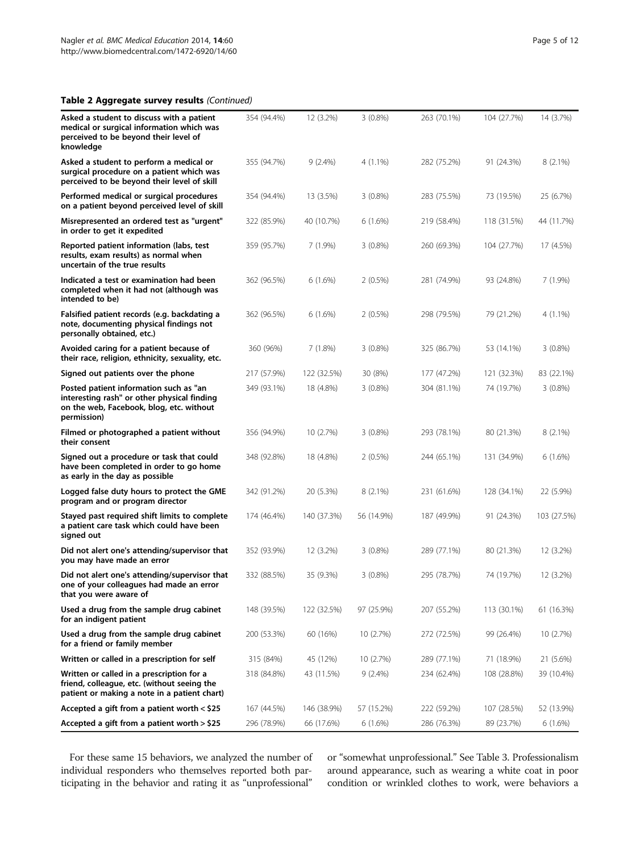## Table 2 Aggregate survey results (Continued)

| Asked a student to discuss with a patient<br>medical or surgical information which was<br>perceived to be beyond their level of<br>knowledge     | 354 (94.4%) | 12 (3.2%)   | $3(0.8\%)$ | 263 (70.1%) | 104 (27.7%) | 14 (3.7%)   |
|--------------------------------------------------------------------------------------------------------------------------------------------------|-------------|-------------|------------|-------------|-------------|-------------|
| Asked a student to perform a medical or<br>surgical procedure on a patient which was<br>perceived to be beyond their level of skill              | 355 (94.7%) | $9(2.4\%)$  | $4(1.1\%)$ | 282 (75.2%) | 91 (24.3%)  | $8(2.1\%)$  |
| Performed medical or surgical procedures<br>on a patient beyond perceived level of skill                                                         | 354 (94.4%) | 13 (3.5%)   | $3(0.8\%)$ | 283 (75.5%) | 73 (19.5%)  | 25 (6.7%)   |
| Misrepresented an ordered test as "urgent"<br>in order to get it expedited                                                                       | 322 (85.9%) | 40 (10.7%)  | 6 (1.6%)   | 219 (58.4%) | 118 (31.5%) | 44 (11.7%)  |
| Reported patient information (labs, test<br>results, exam results) as normal when<br>uncertain of the true results                               | 359 (95.7%) | $7(1.9\%)$  | $3(0.8\%)$ | 260 (69.3%) | 104 (27.7%) | 17 (4.5%)   |
| Indicated a test or examination had been<br>completed when it had not (although was<br>intended to be)                                           | 362 (96.5%) | 6(1.6%)     | $2(0.5\%)$ | 281 (74.9%) | 93 (24.8%)  | 7 (1.9%)    |
| Falsified patient records (e.g. backdating a<br>note, documenting physical findings not<br>personally obtained, etc.)                            | 362 (96.5%) | 6(1.6%)     | $2(0.5\%)$ | 298 (79.5%) | 79 (21.2%)  | 4 (1.1%)    |
| Avoided caring for a patient because of<br>their race, religion, ethnicity, sexuality, etc.                                                      | 360 (96%)   | 7(1.8%)     | $3(0.8\%)$ | 325 (86.7%) | 53 (14.1%)  | $3(0.8\%)$  |
| Signed out patients over the phone                                                                                                               | 217 (57.9%) | 122 (32.5%) | 30 (8%)    | 177 (47.2%) | 121 (32.3%) | 83 (22.1%)  |
| Posted patient information such as "an<br>interesting rash" or other physical finding<br>on the web, Facebook, blog, etc. without<br>permission) | 349 (93.1%) | 18 (4.8%)   | $3(0.8\%)$ | 304 (81.1%) | 74 (19.7%)  | $3(0.8\%)$  |
| Filmed or photographed a patient without<br>their consent                                                                                        | 356 (94.9%) | 10 (2.7%)   | $3(0.8\%)$ | 293 (78.1%) | 80 (21.3%)  | $8(2.1\%)$  |
| Signed out a procedure or task that could<br>have been completed in order to go home<br>as early in the day as possible                          | 348 (92.8%) | 18 (4.8%)   | $2(0.5\%)$ | 244 (65.1%) | 131 (34.9%) | 6(1.6%)     |
| Logged false duty hours to protect the GME<br>program and or program director                                                                    | 342 (91.2%) | 20 (5.3%)   | 8 (2.1%)   | 231 (61.6%) | 128 (34.1%) | 22 (5.9%)   |
| Stayed past required shift limits to complete<br>a patient care task which could have been<br>signed out                                         | 174 (46.4%) | 140 (37.3%) | 56 (14.9%) | 187 (49.9%) | 91 (24.3%)  | 103 (27.5%) |
| Did not alert one's attending/supervisor that<br>you may have made an error                                                                      | 352 (93.9%) | 12 (3.2%)   | $3(0.8\%)$ | 289 (77.1%) | 80 (21.3%)  | 12 (3.2%)   |
| Did not alert one's attending/supervisor that<br>one of your colleagues had made an error<br>that you were aware of                              | 332 (88.5%) | 35 (9.3%)   | $3(0.8\%)$ | 295 (78.7%) | 74 (19.7%)  | 12 (3.2%)   |
| Used a drug from the sample drug cabinet<br>for an indigent patient                                                                              | 148 (39.5%) | 122 (32.5%) | 97 (25.9%) | 207 (55.2%) | 113 (30.1%) | 61 (16.3%)  |
| Used a drug from the sample drug cabinet<br>for a friend or family member                                                                        | 200 (53.3%) | 60 (16%)    | 10 (2.7%)  | 272 (72.5%) | 99 (26.4%)  | 10(2.7%)    |
| Written or called in a prescription for self                                                                                                     | 315 (84%)   | 45 (12%)    | 10 (2.7%)  | 289 (77.1%) | 71 (18.9%)  | 21 (5.6%)   |
| Written or called in a prescription for a<br>friend, colleague, etc. (without seeing the<br>patient or making a note in a patient chart)         | 318 (84.8%) | 43 (11.5%)  | 9 (2.4%)   | 234 (62.4%) | 108 (28.8%) | 39 (10.4%)  |
| Accepted a gift from a patient worth < \$25                                                                                                      | 167 (44.5%) | 146 (38.9%) | 57 (15.2%) | 222 (59.2%) | 107 (28.5%) | 52 (13.9%)  |
| Accepted a gift from a patient worth > \$25                                                                                                      | 296 (78.9%) | 66 (17.6%)  | 6(1.6%)    | 286 (76.3%) | 89 (23.7%)  | 6(1.6%)     |

For these same 15 behaviors, we analyzed the number of individual responders who themselves reported both participating in the behavior and rating it as "unprofessional"

or "somewhat unprofessional." See Table [3](#page-5-0). Professionalism around appearance, such as wearing a white coat in poor condition or wrinkled clothes to work, were behaviors a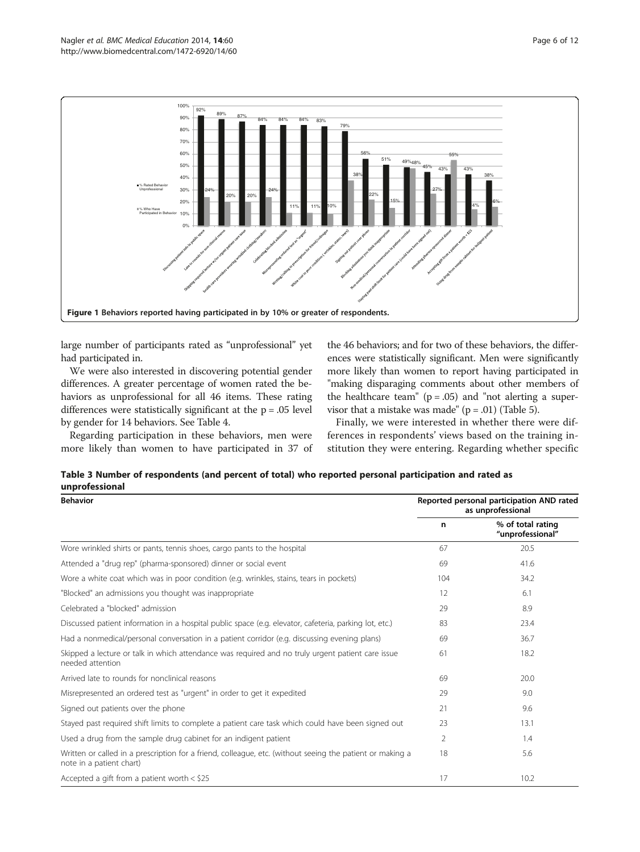<span id="page-5-0"></span>

large number of participants rated as "unprofessional" yet had participated in.

We were also interested in discovering potential gender differences. A greater percentage of women rated the behaviors as unprofessional for all 46 items. These rating differences were statistically significant at the  $p = .05$  level by gender for 14 behaviors. See Table [4](#page-6-0).

Regarding participation in these behaviors, men were more likely than women to have participated in 37 of the 46 behaviors; and for two of these behaviors, the differences were statistically significant. Men were significantly more likely than women to report having participated in "making disparaging comments about other members of the healthcare team" ( $p = .05$ ) and "not alerting a supervisor that a mistake was made" ( $p = .01$ ) (Table [5](#page-6-0)).

Finally, we were interested in whether there were differences in respondents' views based on the training institution they were entering. Regarding whether specific

| Table 3 Number of respondents (and percent of total) who reported personal participation and rated as |  |  |  |  |
|-------------------------------------------------------------------------------------------------------|--|--|--|--|
| unprofessional                                                                                        |  |  |  |  |

| <b>Behavior</b>                                                                                                                       | Reported personal participation AND rated<br>as unprofessional |                                       |  |  |  |  |
|---------------------------------------------------------------------------------------------------------------------------------------|----------------------------------------------------------------|---------------------------------------|--|--|--|--|
|                                                                                                                                       | n                                                              | % of total rating<br>"unprofessional" |  |  |  |  |
| Wore wrinkled shirts or pants, tennis shoes, cargo pants to the hospital                                                              | 67                                                             | 20.5                                  |  |  |  |  |
| Attended a "drug rep" (pharma-sponsored) dinner or social event                                                                       | 69                                                             | 41.6                                  |  |  |  |  |
| Wore a white coat which was in poor condition (e.g. wrinkles, stains, tears in pockets)                                               | 104                                                            | 34.2                                  |  |  |  |  |
| "Blocked" an admissions you thought was inappropriate                                                                                 | 12                                                             | 6.1                                   |  |  |  |  |
| Celebrated a "blocked" admission                                                                                                      | 29                                                             | 8.9                                   |  |  |  |  |
| Discussed patient information in a hospital public space (e.g. elevator, cafeteria, parking lot, etc.)                                | 83                                                             | 23.4                                  |  |  |  |  |
| Had a nonmedical/personal conversation in a patient corridor (e.g. discussing evening plans)                                          | 69                                                             | 36.7                                  |  |  |  |  |
| Skipped a lecture or talk in which attendance was required and no truly urgent patient care issue<br>needed attention                 | 61                                                             | 18.2                                  |  |  |  |  |
| Arrived late to rounds for nonclinical reasons                                                                                        | 69                                                             | 20.0                                  |  |  |  |  |
| Misrepresented an ordered test as "urgent" in order to get it expedited                                                               | 29                                                             | 9.0                                   |  |  |  |  |
| Signed out patients over the phone                                                                                                    | 21                                                             | 9.6                                   |  |  |  |  |
| Stayed past required shift limits to complete a patient care task which could have been signed out                                    | 23                                                             | 13.1                                  |  |  |  |  |
| Used a drug from the sample drug cabinet for an indigent patient                                                                      | $\overline{2}$                                                 | 1.4                                   |  |  |  |  |
| Written or called in a prescription for a friend, colleague, etc. (without seeing the patient or making a<br>note in a patient chart) | 18                                                             | 5.6                                   |  |  |  |  |
| Accepted a gift from a patient worth $<$ \$25                                                                                         | 17                                                             | 10.2                                  |  |  |  |  |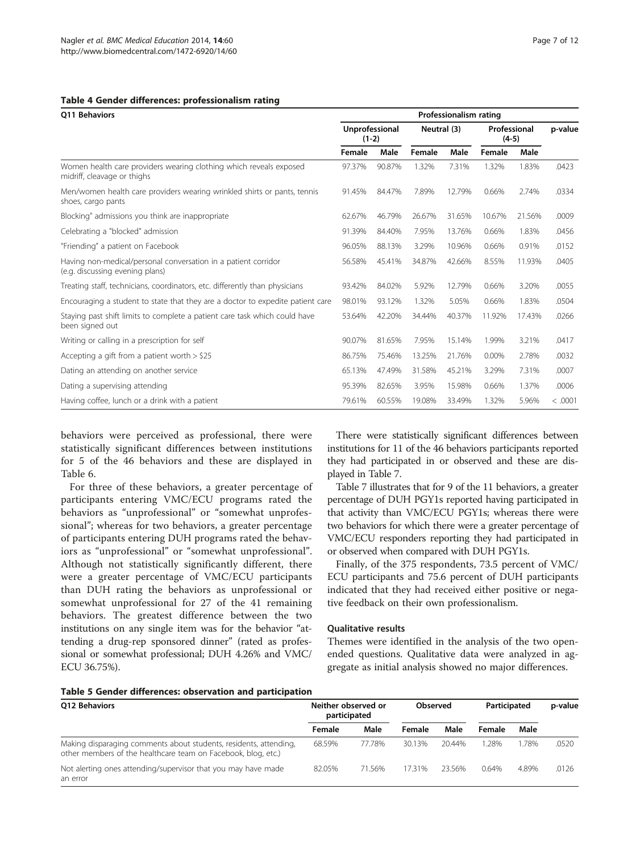#### <span id="page-6-0"></span>Table 4 Gender differences: professionalism rating

| <b>O11 Behaviors</b><br>Women health care providers wearing clothing which reveals exposed<br>midriff, cleavage or thighs<br>shoes, cargo pants<br>Blocking" admissions you think are inappropriate<br>Celebrating a "blocked" admission<br>"Friending" a patient on Facebook<br>Having non-medical/personal conversation in a patient corridor<br>(e.g. discussing evening plans)<br>Treating staff, technicians, coordinators, etc. differently than physicians<br>been signed out<br>Writing or calling in a prescription for self | Professionalism rating    |        |             |        |                         |        |         |  |
|---------------------------------------------------------------------------------------------------------------------------------------------------------------------------------------------------------------------------------------------------------------------------------------------------------------------------------------------------------------------------------------------------------------------------------------------------------------------------------------------------------------------------------------|---------------------------|--------|-------------|--------|-------------------------|--------|---------|--|
|                                                                                                                                                                                                                                                                                                                                                                                                                                                                                                                                       | Unprofessional<br>$(1-2)$ |        | Neutral (3) |        | Professional<br>$(4-5)$ |        | p-value |  |
|                                                                                                                                                                                                                                                                                                                                                                                                                                                                                                                                       | Female                    | Male   | Female      | Male   | Female                  | Male   |         |  |
|                                                                                                                                                                                                                                                                                                                                                                                                                                                                                                                                       | 97.37%                    | 90.87% | 1.32%       | 7.31%  | 1.32%                   | 1.83%  | .0423   |  |
| Men/women health care providers wearing wrinkled shirts or pants, tennis                                                                                                                                                                                                                                                                                                                                                                                                                                                              | 91.45%                    | 84.47% | 7.89%       | 12.79% | 0.66%                   | 2.74%  | .0334   |  |
|                                                                                                                                                                                                                                                                                                                                                                                                                                                                                                                                       | 62.67%                    | 46.79% | 26.67%      | 31.65% | 10.67%                  | 21.56% | .0009   |  |
|                                                                                                                                                                                                                                                                                                                                                                                                                                                                                                                                       | 91.39%                    | 84.40% | 7.95%       | 13.76% | 0.66%                   | 1.83%  | .0456   |  |
|                                                                                                                                                                                                                                                                                                                                                                                                                                                                                                                                       | 96.05%                    | 88.13% | 3.29%       | 10.96% | 0.66%                   | 0.91%  | .0152   |  |
|                                                                                                                                                                                                                                                                                                                                                                                                                                                                                                                                       | 56.58%                    | 45.41% | 34.87%      | 42.66% | 8.55%                   | 11.93% | .0405   |  |
|                                                                                                                                                                                                                                                                                                                                                                                                                                                                                                                                       | 93.42%                    | 84.02% | 5.92%       | 12.79% | 0.66%                   | 3.20%  | .0055   |  |
| Encouraging a student to state that they are a doctor to expedite patient care                                                                                                                                                                                                                                                                                                                                                                                                                                                        | 98.01%                    | 93.12% | 1.32%       | 5.05%  | 0.66%                   | 1.83%  | .0504   |  |
| Staying past shift limits to complete a patient care task which could have                                                                                                                                                                                                                                                                                                                                                                                                                                                            | 53.64%                    | 42.20% | 34.44%      | 40.37% | 11.92%                  | 17.43% | .0266   |  |
|                                                                                                                                                                                                                                                                                                                                                                                                                                                                                                                                       | 90.07%                    | 81.65% | 7.95%       | 15.14% | 1.99%                   | 3.21%  | .0417   |  |
| Accepting a gift from a patient worth $>$ \$25                                                                                                                                                                                                                                                                                                                                                                                                                                                                                        | 86.75%                    | 75.46% | 13.25%      | 21.76% | 0.00%                   | 2.78%  | .0032   |  |
| Dating an attending on another service                                                                                                                                                                                                                                                                                                                                                                                                                                                                                                | 65.13%                    | 47.49% | 31.58%      | 45.21% | 3.29%                   | 7.31%  | .0007   |  |
| Dating a supervising attending                                                                                                                                                                                                                                                                                                                                                                                                                                                                                                        | 95.39%                    | 82.65% | 3.95%       | 15.98% | 0.66%                   | 1.37%  | .0006   |  |
| Having coffee, lunch or a drink with a patient                                                                                                                                                                                                                                                                                                                                                                                                                                                                                        | 79.61%                    | 60.55% | 19.08%      | 33.49% | 1.32%                   | 5.96%  | < .0001 |  |

behaviors were perceived as professional, there were statistically significant differences between institutions for 5 of the 46 behaviors and these are displayed in Table [6](#page-7-0).

For three of these behaviors, a greater percentage of participants entering VMC/ECU programs rated the behaviors as "unprofessional" or "somewhat unprofessional"; whereas for two behaviors, a greater percentage of participants entering DUH programs rated the behaviors as "unprofessional" or "somewhat unprofessional". Although not statistically significantly different, there were a greater percentage of VMC/ECU participants than DUH rating the behaviors as unprofessional or somewhat unprofessional for 27 of the 41 remaining behaviors. The greatest difference between the two institutions on any single item was for the behavior "attending a drug-rep sponsored dinner" (rated as professional or somewhat professional; DUH 4.26% and VMC/ ECU 36.75%).

There were statistically significant differences between institutions for 11 of the 46 behaviors participants reported they had participated in or observed and these are displayed in Table [7.](#page-7-0)

Table [7](#page-7-0) illustrates that for 9 of the 11 behaviors, a greater percentage of DUH PGY1s reported having participated in that activity than VMC/ECU PGY1s; whereas there were two behaviors for which there were a greater percentage of VMC/ECU responders reporting they had participated in or observed when compared with DUH PGY1s.

Finally, of the 375 respondents, 73.5 percent of VMC/ ECU participants and 75.6 percent of DUH participants indicated that they had received either positive or negative feedback on their own professionalism.

## Qualitative results

Themes were identified in the analysis of the two openended questions. Qualitative data were analyzed in aggregate as initial analysis showed no major differences.

#### Table 5 Gender differences: observation and participation

| <b>O12 Behaviors</b>                                                                                                               | Neither observed or<br>participated |        | <b>Observed</b> |        | Participated |       | p-value |
|------------------------------------------------------------------------------------------------------------------------------------|-------------------------------------|--------|-----------------|--------|--------------|-------|---------|
|                                                                                                                                    | Female                              | Male   | Female          | Male   | Female       | Male  |         |
| Making disparaging comments about students, residents, attending,<br>other members of the healthcare team on Facebook, blog, etc.) | 68.59%                              | 77.78% | 30.13%          | 20.44% | 1.28%        | .78%  | .0520   |
| Not alerting ones attending/supervisor that you may have made<br>an error                                                          | 82.05%                              | 71.56% | 17.31%          | 23.56% | 0.64%        | 4.89% | .0126   |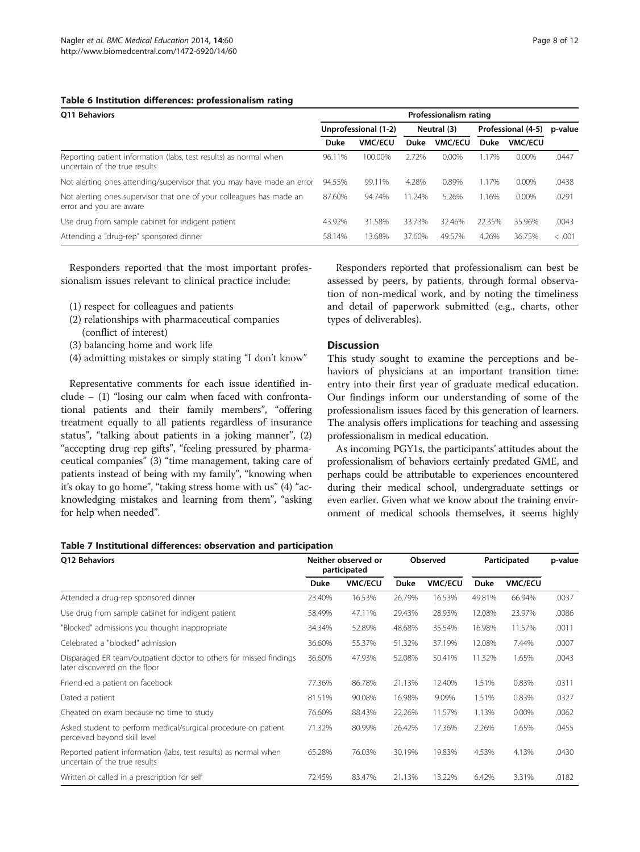#### <span id="page-7-0"></span>Table 6 Institution differences: professionalism rating

| <b>O11 Behaviors</b>                                                                               |             | Professionalism rating |             |                |                    |                |         |  |  |  |
|----------------------------------------------------------------------------------------------------|-------------|------------------------|-------------|----------------|--------------------|----------------|---------|--|--|--|
|                                                                                                    |             | Unprofessional (1-2)   | Neutral (3) |                | Professional (4-5) |                | p-value |  |  |  |
|                                                                                                    | <b>Duke</b> | <b>VMC/ECU</b>         | Duke        | <b>VMC/ECU</b> | Duke               | <b>VMC/ECU</b> |         |  |  |  |
| Reporting patient information (labs, test results) as normal when<br>uncertain of the true results | 96.11%      | 100.00%                | 2.72%       | $0.00\%$       | 1.7%               | 0.00%          | .0447   |  |  |  |
| Not alerting ones attending/supervisor that you may have made an error                             | 94.55%      | 99.11%                 | 4.28%       | 0.89%          | 1.17%              | 0.00%          | .0438   |  |  |  |
| Not alerting ones supervisor that one of your colleagues has made an<br>error and you are aware    | 87.60%      | 94.74%                 | 11.24%      | 5.26%          | 1.16%              | $0.00\%$       | .0291   |  |  |  |
| Use drug from sample cabinet for indigent patient                                                  | 43.92%      | 31.58%                 | 33.73%      | 32.46%         | 22.35%             | 35.96%         | .0043   |  |  |  |
| Attending a "drug-rep" sponsored dinner                                                            | 58.14%      | 13.68%                 | 37.60%      | 49.57%         | 4.26%              | 36.75%         | < .001  |  |  |  |

Responders reported that the most important professionalism issues relevant to clinical practice include:

- (1) respect for colleagues and patients
- (2) relationships with pharmaceutical companies (conflict of interest)
- (3) balancing home and work life
- (4) admitting mistakes or simply stating "I don't know"

Representative comments for each issue identified in $clude - (1)$  "losing our calm when faced with confrontational patients and their family members", "offering treatment equally to all patients regardless of insurance status", "talking about patients in a joking manner", (2) "accepting drug rep gifts", "feeling pressured by pharmaceutical companies" (3) "time management, taking care of patients instead of being with my family", "knowing when it's okay to go home", "taking stress home with us" (4) "acknowledging mistakes and learning from them", "asking for help when needed".

Responders reported that professionalism can best be assessed by peers, by patients, through formal observation of non-medical work, and by noting the timeliness and detail of paperwork submitted (e.g., charts, other types of deliverables).

## **Discussion**

This study sought to examine the perceptions and behaviors of physicians at an important transition time: entry into their first year of graduate medical education. Our findings inform our understanding of some of the professionalism issues faced by this generation of learners. The analysis offers implications for teaching and assessing professionalism in medical education.

As incoming PGY1s, the participants' attitudes about the professionalism of behaviors certainly predated GME, and perhaps could be attributable to experiences encountered during their medical school, undergraduate settings or even earlier. Given what we know about the training environment of medical schools themselves, it seems highly

#### Table 7 Institutional differences: observation and participation

| <b>O12 Behaviors</b>                                                                                |        | Neither observed or<br>participated |             | <b>Observed</b> |             | Participated   |       |
|-----------------------------------------------------------------------------------------------------|--------|-------------------------------------|-------------|-----------------|-------------|----------------|-------|
|                                                                                                     | Duke   | <b>VMC/ECU</b>                      | <b>Duke</b> | <b>VMC/ECU</b>  | <b>Duke</b> | <b>VMC/ECU</b> |       |
| Attended a drug-rep sponsored dinner                                                                | 23.40% | 16.53%                              | 26.79%      | 16.53%          | 49.81%      | 66.94%         | .0037 |
| Use drug from sample cabinet for indigent patient                                                   | 58.49% | 47.11%                              | 29.43%      | 28.93%          | 12.08%      | 23.97%         | .0086 |
| "Blocked" admissions you thought inappropriate                                                      | 34.34% | 52.89%                              | 48.68%      | 35.54%          | 16.98%      | 11.57%         | .0011 |
| Celebrated a "blocked" admission                                                                    | 36.60% | 55.37%                              | 51.32%      | 37.19%          | 12.08%      | 7.44%          | .0007 |
| Disparaged ER team/outpatient doctor to others for missed findings<br>later discovered on the floor | 36.60% | 47.93%                              | 52.08%      | 50.41%          | 11.32%      | 1.65%          | .0043 |
| Friend-ed a patient on facebook                                                                     | 77.36% | 86.78%                              | 21.13%      | 12.40%          | 1.51%       | 0.83%          | .0311 |
| Dated a patient                                                                                     | 81.51% | 90.08%                              | 16.98%      | 9.09%           | 1.51%       | 0.83%          | .0327 |
| Cheated on exam because no time to study                                                            | 76.60% | 88.43%                              | 22.26%      | 11.57%          | 1.13%       | 0.00%          | .0062 |
| Asked student to perform medical/surgical procedure on patient<br>perceived beyond skill level      | 71.32% | 80.99%                              | 26.42%      | 17.36%          | 2.26%       | 1.65%          | .0455 |
| Reported patient information (labs, test results) as normal when<br>uncertain of the true results   | 65.28% | 76.03%                              | 30.19%      | 19.83%          | 4.53%       | 4.13%          | .0430 |
| Written or called in a prescription for self                                                        | 72.45% | 83.47%                              | 21.13%      | 13.22%          | 6.42%       | 3.31%          | .0182 |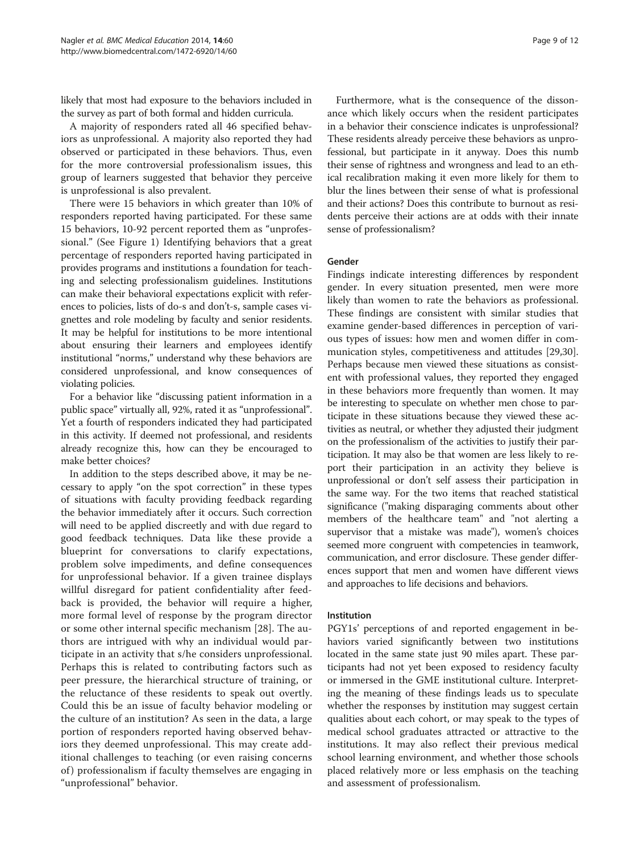likely that most had exposure to the behaviors included in the survey as part of both formal and hidden curricula.

A majority of responders rated all 46 specified behaviors as unprofessional. A majority also reported they had observed or participated in these behaviors. Thus, even for the more controversial professionalism issues, this group of learners suggested that behavior they perceive is unprofessional is also prevalent.

There were 15 behaviors in which greater than 10% of responders reported having participated. For these same 15 behaviors, 10-92 percent reported them as "unprofessional." (See Figure [1](#page-5-0)) Identifying behaviors that a great percentage of responders reported having participated in provides programs and institutions a foundation for teaching and selecting professionalism guidelines. Institutions can make their behavioral expectations explicit with references to policies, lists of do-s and don't-s, sample cases vignettes and role modeling by faculty and senior residents. It may be helpful for institutions to be more intentional about ensuring their learners and employees identify institutional "norms," understand why these behaviors are considered unprofessional, and know consequences of violating policies.

For a behavior like "discussing patient information in a public space" virtually all, 92%, rated it as "unprofessional". Yet a fourth of responders indicated they had participated in this activity. If deemed not professional, and residents already recognize this, how can they be encouraged to make better choices?

In addition to the steps described above, it may be necessary to apply "on the spot correction" in these types of situations with faculty providing feedback regarding the behavior immediately after it occurs. Such correction will need to be applied discreetly and with due regard to good feedback techniques. Data like these provide a blueprint for conversations to clarify expectations, problem solve impediments, and define consequences for unprofessional behavior. If a given trainee displays willful disregard for patient confidentiality after feedback is provided, the behavior will require a higher, more formal level of response by the program director or some other internal specific mechanism [[28\]](#page-11-0). The authors are intrigued with why an individual would participate in an activity that s/he considers unprofessional. Perhaps this is related to contributing factors such as peer pressure, the hierarchical structure of training, or the reluctance of these residents to speak out overtly. Could this be an issue of faculty behavior modeling or the culture of an institution? As seen in the data, a large portion of responders reported having observed behaviors they deemed unprofessional. This may create additional challenges to teaching (or even raising concerns of ) professionalism if faculty themselves are engaging in "unprofessional" behavior.

Furthermore, what is the consequence of the dissonance which likely occurs when the resident participates in a behavior their conscience indicates is unprofessional? These residents already perceive these behaviors as unprofessional, but participate in it anyway. Does this numb their sense of rightness and wrongness and lead to an ethical recalibration making it even more likely for them to blur the lines between their sense of what is professional and their actions? Does this contribute to burnout as residents perceive their actions are at odds with their innate sense of professionalism?

## Gender

Findings indicate interesting differences by respondent gender. In every situation presented, men were more likely than women to rate the behaviors as professional. These findings are consistent with similar studies that examine gender-based differences in perception of various types of issues: how men and women differ in communication styles, competitiveness and attitudes [\[29,30](#page-11-0)]. Perhaps because men viewed these situations as consistent with professional values, they reported they engaged in these behaviors more frequently than women. It may be interesting to speculate on whether men chose to participate in these situations because they viewed these activities as neutral, or whether they adjusted their judgment on the professionalism of the activities to justify their participation. It may also be that women are less likely to report their participation in an activity they believe is unprofessional or don't self assess their participation in the same way. For the two items that reached statistical significance ("making disparaging comments about other members of the healthcare team" and "not alerting a supervisor that a mistake was made"), women's choices seemed more congruent with competencies in teamwork, communication, and error disclosure. These gender differences support that men and women have different views and approaches to life decisions and behaviors.

#### Institution

PGY1s' perceptions of and reported engagement in behaviors varied significantly between two institutions located in the same state just 90 miles apart. These participants had not yet been exposed to residency faculty or immersed in the GME institutional culture. Interpreting the meaning of these findings leads us to speculate whether the responses by institution may suggest certain qualities about each cohort, or may speak to the types of medical school graduates attracted or attractive to the institutions. It may also reflect their previous medical school learning environment, and whether those schools placed relatively more or less emphasis on the teaching and assessment of professionalism.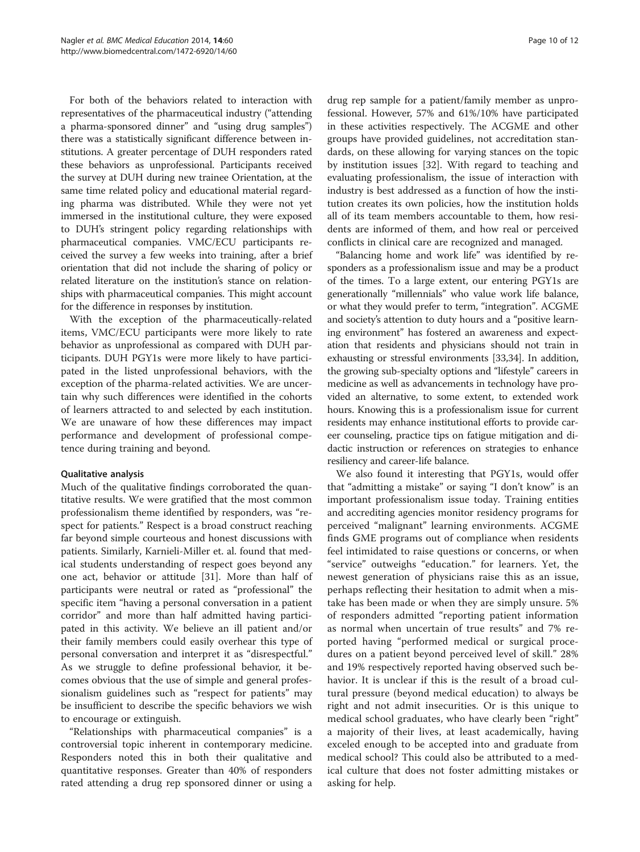For both of the behaviors related to interaction with representatives of the pharmaceutical industry ("attending a pharma-sponsored dinner" and "using drug samples") there was a statistically significant difference between institutions. A greater percentage of DUH responders rated these behaviors as unprofessional. Participants received the survey at DUH during new trainee Orientation, at the same time related policy and educational material regarding pharma was distributed. While they were not yet immersed in the institutional culture, they were exposed to DUH's stringent policy regarding relationships with pharmaceutical companies. VMC/ECU participants received the survey a few weeks into training, after a brief orientation that did not include the sharing of policy or related literature on the institution's stance on relationships with pharmaceutical companies. This might account for the difference in responses by institution.

With the exception of the pharmaceutically-related items, VMC/ECU participants were more likely to rate behavior as unprofessional as compared with DUH participants. DUH PGY1s were more likely to have participated in the listed unprofessional behaviors, with the exception of the pharma-related activities. We are uncertain why such differences were identified in the cohorts of learners attracted to and selected by each institution. We are unaware of how these differences may impact performance and development of professional competence during training and beyond.

## Qualitative analysis

Much of the qualitative findings corroborated the quantitative results. We were gratified that the most common professionalism theme identified by responders, was "respect for patients." Respect is a broad construct reaching far beyond simple courteous and honest discussions with patients. Similarly, Karnieli-Miller et. al. found that medical students understanding of respect goes beyond any one act, behavior or attitude [[31](#page-11-0)]. More than half of participants were neutral or rated as "professional" the specific item "having a personal conversation in a patient corridor" and more than half admitted having participated in this activity. We believe an ill patient and/or their family members could easily overhear this type of personal conversation and interpret it as "disrespectful." As we struggle to define professional behavior, it becomes obvious that the use of simple and general professionalism guidelines such as "respect for patients" may be insufficient to describe the specific behaviors we wish to encourage or extinguish.

"Relationships with pharmaceutical companies" is a controversial topic inherent in contemporary medicine. Responders noted this in both their qualitative and quantitative responses. Greater than 40% of responders rated attending a drug rep sponsored dinner or using a

drug rep sample for a patient/family member as unprofessional. However, 57% and 61%/10% have participated in these activities respectively. The ACGME and other groups have provided guidelines, not accreditation standards, on these allowing for varying stances on the topic by institution issues [[32](#page-11-0)]. With regard to teaching and evaluating professionalism, the issue of interaction with industry is best addressed as a function of how the institution creates its own policies, how the institution holds all of its team members accountable to them, how residents are informed of them, and how real or perceived conflicts in clinical care are recognized and managed.

"Balancing home and work life" was identified by responders as a professionalism issue and may be a product of the times. To a large extent, our entering PGY1s are generationally "millennials" who value work life balance, or what they would prefer to term, "integration". ACGME and society's attention to duty hours and a "positive learning environment" has fostered an awareness and expectation that residents and physicians should not train in exhausting or stressful environments [\[33,34\]](#page-11-0). In addition, the growing sub-specialty options and "lifestyle" careers in medicine as well as advancements in technology have provided an alternative, to some extent, to extended work hours. Knowing this is a professionalism issue for current residents may enhance institutional efforts to provide career counseling, practice tips on fatigue mitigation and didactic instruction or references on strategies to enhance resiliency and career-life balance.

We also found it interesting that PGY1s, would offer that "admitting a mistake" or saying "I don't know" is an important professionalism issue today. Training entities and accrediting agencies monitor residency programs for perceived "malignant" learning environments. ACGME finds GME programs out of compliance when residents feel intimidated to raise questions or concerns, or when "service" outweighs "education." for learners. Yet, the newest generation of physicians raise this as an issue, perhaps reflecting their hesitation to admit when a mistake has been made or when they are simply unsure. 5% of responders admitted "reporting patient information as normal when uncertain of true results" and 7% reported having "performed medical or surgical procedures on a patient beyond perceived level of skill." 28% and 19% respectively reported having observed such behavior. It is unclear if this is the result of a broad cultural pressure (beyond medical education) to always be right and not admit insecurities. Or is this unique to medical school graduates, who have clearly been "right" a majority of their lives, at least academically, having exceled enough to be accepted into and graduate from medical school? This could also be attributed to a medical culture that does not foster admitting mistakes or asking for help.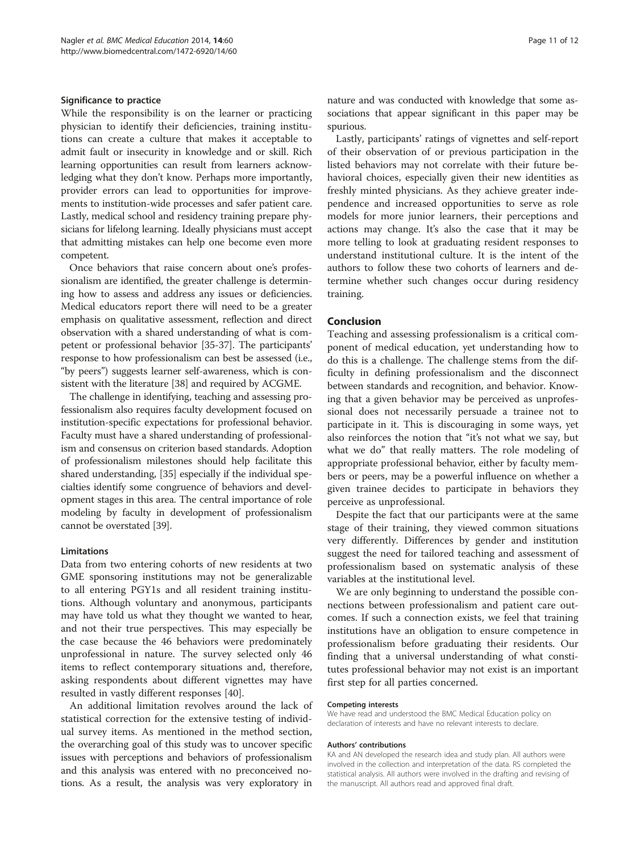#### Significance to practice

While the responsibility is on the learner or practicing physician to identify their deficiencies, training institutions can create a culture that makes it acceptable to admit fault or insecurity in knowledge and or skill. Rich learning opportunities can result from learners acknowledging what they don't know. Perhaps more importantly, provider errors can lead to opportunities for improvements to institution-wide processes and safer patient care. Lastly, medical school and residency training prepare physicians for lifelong learning. Ideally physicians must accept that admitting mistakes can help one become even more competent.

Once behaviors that raise concern about one's professionalism are identified, the greater challenge is determining how to assess and address any issues or deficiencies. Medical educators report there will need to be a greater emphasis on qualitative assessment, reflection and direct observation with a shared understanding of what is competent or professional behavior [\[35](#page-11-0)-[37](#page-11-0)]. The participants' response to how professionalism can best be assessed (i.e., "by peers") suggests learner self-awareness, which is consistent with the literature [[38](#page-11-0)] and required by ACGME.

The challenge in identifying, teaching and assessing professionalism also requires faculty development focused on institution-specific expectations for professional behavior. Faculty must have a shared understanding of professionalism and consensus on criterion based standards. Adoption of professionalism milestones should help facilitate this shared understanding, [[35](#page-11-0)] especially if the individual specialties identify some congruence of behaviors and development stages in this area. The central importance of role modeling by faculty in development of professionalism cannot be overstated [\[39\]](#page-11-0).

## Limitations

Data from two entering cohorts of new residents at two GME sponsoring institutions may not be generalizable to all entering PGY1s and all resident training institutions. Although voluntary and anonymous, participants may have told us what they thought we wanted to hear, and not their true perspectives. This may especially be the case because the 46 behaviors were predominately unprofessional in nature. The survey selected only 46 items to reflect contemporary situations and, therefore, asking respondents about different vignettes may have resulted in vastly different responses [\[40\]](#page-11-0).

An additional limitation revolves around the lack of statistical correction for the extensive testing of individual survey items. As mentioned in the method section, the overarching goal of this study was to uncover specific issues with perceptions and behaviors of professionalism and this analysis was entered with no preconceived notions. As a result, the analysis was very exploratory in

nature and was conducted with knowledge that some associations that appear significant in this paper may be spurious.

Lastly, participants' ratings of vignettes and self-report of their observation of or previous participation in the listed behaviors may not correlate with their future behavioral choices, especially given their new identities as freshly minted physicians. As they achieve greater independence and increased opportunities to serve as role models for more junior learners, their perceptions and actions may change. It's also the case that it may be more telling to look at graduating resident responses to understand institutional culture. It is the intent of the authors to follow these two cohorts of learners and determine whether such changes occur during residency training.

#### Conclusion

Teaching and assessing professionalism is a critical component of medical education, yet understanding how to do this is a challenge. The challenge stems from the difficulty in defining professionalism and the disconnect between standards and recognition, and behavior. Knowing that a given behavior may be perceived as unprofessional does not necessarily persuade a trainee not to participate in it. This is discouraging in some ways, yet also reinforces the notion that "it's not what we say, but what we do" that really matters. The role modeling of appropriate professional behavior, either by faculty members or peers, may be a powerful influence on whether a given trainee decides to participate in behaviors they perceive as unprofessional.

Despite the fact that our participants were at the same stage of their training, they viewed common situations very differently. Differences by gender and institution suggest the need for tailored teaching and assessment of professionalism based on systematic analysis of these variables at the institutional level.

We are only beginning to understand the possible connections between professionalism and patient care outcomes. If such a connection exists, we feel that training institutions have an obligation to ensure competence in professionalism before graduating their residents. Our finding that a universal understanding of what constitutes professional behavior may not exist is an important first step for all parties concerned.

#### Competing interests

We have read and understood the BMC Medical Education policy on declaration of interests and have no relevant interests to declare.

#### Authors' contributions

KA and AN developed the research idea and study plan. All authors were involved in the collection and interpretation of the data. RS completed the statistical analysis. All authors were involved in the drafting and revising of the manuscript. All authors read and approved final draft.